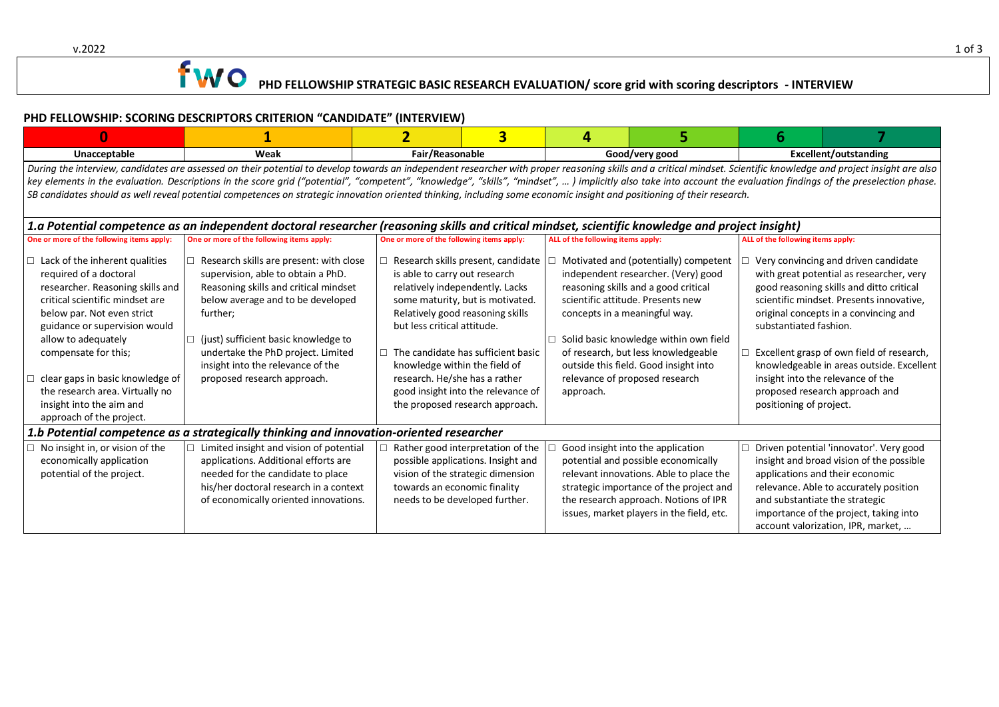# $\bullet$  PHD FELLOWSHIP STRATEGIC BASIC RESEARCH EVALUATION/ score grid with scoring descriptors - INTERVIEW

### **PHD FELLOWSHIP: SCORING DESCRIPTORS CRITERION "CANDIDATE" (INTERVIEW)**

| $\Omega$                                                                                                                                                                                                                                                                                                                                                                                                                                                                                                                                                                                                               |                                                                                                                                                                                                                                                                                                                                       | 2                                                                                                                              | $\overline{\mathbf{3}}$                                                                                                                                                                                                                                             | 4                                                                            | 5                                                                                                                                                                                                                                                                                   | 6                                                 |                                                                                                                                                                                                                                                                                                                                                                                    |  |  |
|------------------------------------------------------------------------------------------------------------------------------------------------------------------------------------------------------------------------------------------------------------------------------------------------------------------------------------------------------------------------------------------------------------------------------------------------------------------------------------------------------------------------------------------------------------------------------------------------------------------------|---------------------------------------------------------------------------------------------------------------------------------------------------------------------------------------------------------------------------------------------------------------------------------------------------------------------------------------|--------------------------------------------------------------------------------------------------------------------------------|---------------------------------------------------------------------------------------------------------------------------------------------------------------------------------------------------------------------------------------------------------------------|------------------------------------------------------------------------------|-------------------------------------------------------------------------------------------------------------------------------------------------------------------------------------------------------------------------------------------------------------------------------------|---------------------------------------------------|------------------------------------------------------------------------------------------------------------------------------------------------------------------------------------------------------------------------------------------------------------------------------------------------------------------------------------------------------------------------------------|--|--|
| Unacceptable                                                                                                                                                                                                                                                                                                                                                                                                                                                                                                                                                                                                           | Weak                                                                                                                                                                                                                                                                                                                                  |                                                                                                                                | Fair/Reasonable<br>Good/very good                                                                                                                                                                                                                                   |                                                                              | Excellent/outstanding                                                                                                                                                                                                                                                               |                                                   |                                                                                                                                                                                                                                                                                                                                                                                    |  |  |
| During the interview, candidates are assessed on their potential to develop towards an independent researcher with proper reasoning skills and a critical mindset. Scientific knowledge and project insight are also<br>key elements in the evaluation. Descriptions in the score grid ("potential", "competent", "knowledge", "skills", "mindset",  ) implicitly also take into account the evaluation findings of the preselection phase.<br>SB candidates should as well reveal potential competences on strategic innovation oriented thinking, including some economic insight and positioning of their research. |                                                                                                                                                                                                                                                                                                                                       |                                                                                                                                |                                                                                                                                                                                                                                                                     |                                                                              |                                                                                                                                                                                                                                                                                     |                                                   |                                                                                                                                                                                                                                                                                                                                                                                    |  |  |
| 1.a Potential competence as an independent doctoral researcher (reasoning skills and critical mindset, scientific knowledge and project insight)                                                                                                                                                                                                                                                                                                                                                                                                                                                                       |                                                                                                                                                                                                                                                                                                                                       |                                                                                                                                |                                                                                                                                                                                                                                                                     |                                                                              |                                                                                                                                                                                                                                                                                     |                                                   |                                                                                                                                                                                                                                                                                                                                                                                    |  |  |
| One or more of the following items apply:                                                                                                                                                                                                                                                                                                                                                                                                                                                                                                                                                                              | One or more of the following items apply:                                                                                                                                                                                                                                                                                             | One or more of the following items apply:                                                                                      |                                                                                                                                                                                                                                                                     | ALL of the following items apply:                                            |                                                                                                                                                                                                                                                                                     | ALL of the following items apply:                 |                                                                                                                                                                                                                                                                                                                                                                                    |  |  |
| Lack of the inherent qualities<br>$\Box$<br>required of a doctoral<br>researcher. Reasoning skills and<br>critical scientific mindset are<br>below par. Not even strict<br>guidance or supervision would<br>allow to adequately<br>compensate for this;<br>clear gaps in basic knowledge of<br>the research area. Virtually no<br>insight into the aim and<br>approach of the project.                                                                                                                                                                                                                                 | $\Box$ Research skills are present: with close<br>supervision, able to obtain a PhD.<br>Reasoning skills and critical mindset<br>below average and to be developed<br>further;<br>(just) sufficient basic knowledge to<br>п<br>undertake the PhD project. Limited<br>insight into the relevance of the<br>proposed research approach. | is able to carry out research<br>but less critical attitude.<br>knowledge within the field of<br>research. He/she has a rather | $\Box$ Research skills present, candidate<br>relatively independently. Lacks<br>some maturity, but is motivated.<br>Relatively good reasoning skills<br>The candidate has sufficient basic<br>good insight into the relevance of<br>the proposed research approach. | concepts in a meaningful way.<br>relevance of proposed research<br>approach. | Motivated and (potentially) competent<br>independent researcher. (Very) good<br>reasoning skills and a good critical<br>scientific attitude. Presents new<br>Solid basic knowledge within own field<br>of research, but less knowledgeable<br>outside this field. Good insight into | substantiated fashion.<br>positioning of project. | Very convincing and driven candidate<br>with great potential as researcher, very<br>good reasoning skills and ditto critical<br>scientific mindset. Presents innovative,<br>original concepts in a convincing and<br>Excellent grasp of own field of research,<br>knowledgeable in areas outside. Excellent<br>insight into the relevance of the<br>proposed research approach and |  |  |
| 1.b Potential competence as a strategically thinking and innovation-oriented researcher                                                                                                                                                                                                                                                                                                                                                                                                                                                                                                                                |                                                                                                                                                                                                                                                                                                                                       |                                                                                                                                |                                                                                                                                                                                                                                                                     |                                                                              |                                                                                                                                                                                                                                                                                     |                                                   |                                                                                                                                                                                                                                                                                                                                                                                    |  |  |
| No insight in, or vision of the<br>economically application<br>potential of the project.                                                                                                                                                                                                                                                                                                                                                                                                                                                                                                                               | Limited insight and vision of potential<br>applications. Additional efforts are<br>needed for the candidate to place<br>his/her doctoral research in a context<br>of economically oriented innovations.                                                                                                                               | towards an economic finality                                                                                                   | Rather good interpretation of the<br>possible applications. Insight and<br>vision of the strategic dimension<br>needs to be developed further.                                                                                                                      |                                                                              | Good insight into the application<br>potential and possible economically<br>relevant innovations. Able to place the<br>strategic importance of the project and<br>the research approach. Notions of IPR<br>issues, market players in the field, etc.                                | and substantiate the strategic                    | Driven potential 'innovator'. Very good<br>insight and broad vision of the possible<br>applications and their economic<br>relevance. Able to accurately position<br>importance of the project, taking into<br>account valorization, IPR, market,                                                                                                                                   |  |  |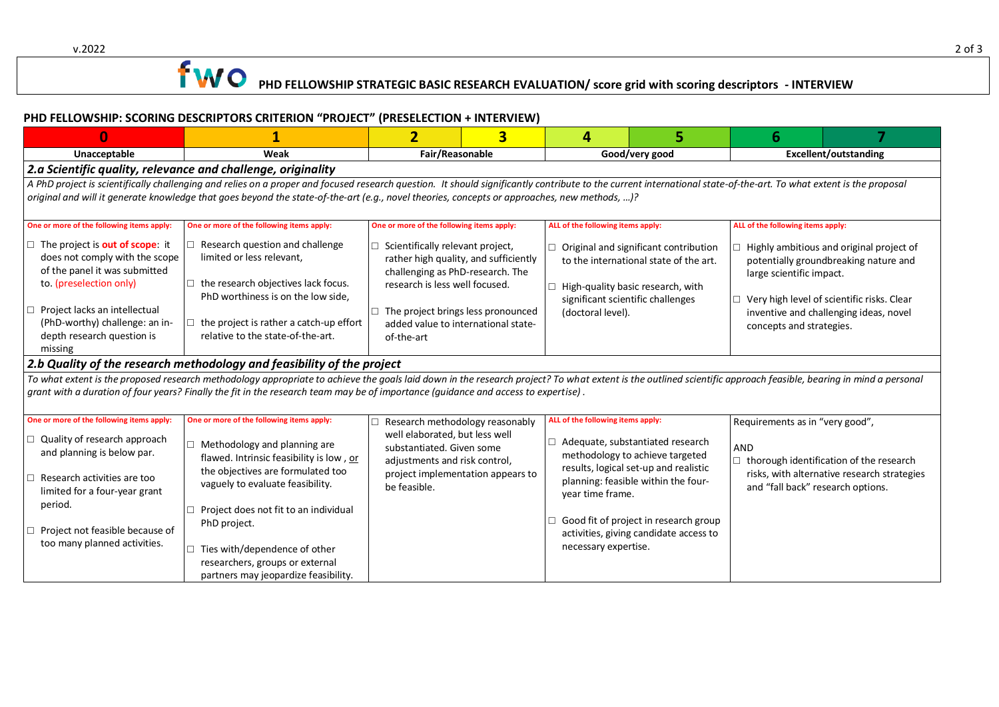# **PHD FELLOWSHIP STRATEGIC BASIC RESEARCH EVALUATION/** score grid with scoring descriptors - INTERVIEW

### **PHD FELLOWSHIP: SCORING DESCRIPTORS CRITERION "PROJECT" (PRESELECTION + INTERVIEW)**

| $\bf{0}$                                                                                                                                                                                                                                                              | 1                                                                                                                                                                                                                                                                                                                                                                                                                                                                                                                                                                                                                                                                                 | $\overline{2}$                                                                                                                                                                                                                                           | $\overline{\mathbf{3}}$ | 4                                                                             |                                                                                                                                                                                                                                               | 6                                                                           |                                                                                                                                                                           |  |  |
|-----------------------------------------------------------------------------------------------------------------------------------------------------------------------------------------------------------------------------------------------------------------------|-----------------------------------------------------------------------------------------------------------------------------------------------------------------------------------------------------------------------------------------------------------------------------------------------------------------------------------------------------------------------------------------------------------------------------------------------------------------------------------------------------------------------------------------------------------------------------------------------------------------------------------------------------------------------------------|----------------------------------------------------------------------------------------------------------------------------------------------------------------------------------------------------------------------------------------------------------|-------------------------|-------------------------------------------------------------------------------|-----------------------------------------------------------------------------------------------------------------------------------------------------------------------------------------------------------------------------------------------|-----------------------------------------------------------------------------|---------------------------------------------------------------------------------------------------------------------------------------------------------------------------|--|--|
| Unacceptable                                                                                                                                                                                                                                                          | Weak                                                                                                                                                                                                                                                                                                                                                                                                                                                                                                                                                                                                                                                                              | Fair/Reasonable                                                                                                                                                                                                                                          |                         | Good/very good                                                                |                                                                                                                                                                                                                                               | <b>Excellent/outstanding</b>                                                |                                                                                                                                                                           |  |  |
| 2.a Scientific quality, relevance and challenge, originality                                                                                                                                                                                                          |                                                                                                                                                                                                                                                                                                                                                                                                                                                                                                                                                                                                                                                                                   |                                                                                                                                                                                                                                                          |                         |                                                                               |                                                                                                                                                                                                                                               |                                                                             |                                                                                                                                                                           |  |  |
|                                                                                                                                                                                                                                                                       | A PhD project is scientifically challenging and relies on a proper and focused research question. It should significantly contribute to the current international state-of-the-art. To what extent is the proposal                                                                                                                                                                                                                                                                                                                                                                                                                                                                |                                                                                                                                                                                                                                                          |                         |                                                                               |                                                                                                                                                                                                                                               |                                                                             |                                                                                                                                                                           |  |  |
|                                                                                                                                                                                                                                                                       | original and will it generate knowledge that goes beyond the state-of-the-art (e.g., novel theories, concepts or approaches, new methods, )?                                                                                                                                                                                                                                                                                                                                                                                                                                                                                                                                      |                                                                                                                                                                                                                                                          |                         |                                                                               |                                                                                                                                                                                                                                               |                                                                             |                                                                                                                                                                           |  |  |
|                                                                                                                                                                                                                                                                       |                                                                                                                                                                                                                                                                                                                                                                                                                                                                                                                                                                                                                                                                                   |                                                                                                                                                                                                                                                          |                         |                                                                               |                                                                                                                                                                                                                                               |                                                                             |                                                                                                                                                                           |  |  |
| One or more of the following items apply:                                                                                                                                                                                                                             | One or more of the following items apply:                                                                                                                                                                                                                                                                                                                                                                                                                                                                                                                                                                                                                                         | One or more of the following items apply:                                                                                                                                                                                                                |                         | ALL of the following items apply:                                             |                                                                                                                                                                                                                                               | ALL of the following items apply:                                           |                                                                                                                                                                           |  |  |
| $\Box$ The project is <b>out of scope</b> : it<br>does not comply with the scope<br>of the panel it was submitted<br>to. (preselection only)<br>Project lacks an intellectual<br>□<br>(PhD-worthy) challenge: an in-<br>depth research question is<br>missing         | $\Box$ Research question and challenge<br>limited or less relevant,<br>$\Box$ the research objectives lack focus.<br>PhD worthiness is on the low side,<br>$\Box$ the project is rather a catch-up effort<br>relative to the state-of-the-art.<br>2.b Quality of the research methodology and feasibility of the project<br>To what extent is the proposed research methodology appropriate to achieve the goals laid down in the research project? To what extent is the outlined scientific approach feasible, bearing in mind a personal<br>grant with a duration of four years? Finally the fit in the research team may be of importance (guidance and access to expertise). | $\Box$ Scientifically relevant project,<br>rather high quality, and sufficiently<br>challenging as PhD-research. The<br>research is less well focused.<br>$\Box$ The project brings less pronounced<br>added value to international state-<br>of-the-art |                         | (doctoral level).                                                             | $\Box$ Original and significant contribution<br>to the international state of the art.<br>High-quality basic research, with<br>significant scientific challenges                                                                              | large scientific impact.<br>П.<br>concepts and strategies.                  | Highly ambitious and original project of<br>potentially groundbreaking nature and<br>Very high level of scientific risks. Clear<br>inventive and challenging ideas, novel |  |  |
| One or more of the following items apply:<br>Quality of research approach<br>□<br>and planning is below par.<br>Research activities are too<br>П.<br>limited for a four-year grant<br>period.<br>Project not feasible because of<br>□<br>too many planned activities. | One or more of the following items apply:<br>$\Box$ Methodology and planning are<br>flawed. Intrinsic feasibility is low, or<br>the objectives are formulated too<br>vaguely to evaluate feasibility.<br>Project does not fit to an individual<br>$\Box$<br>PhD project.<br>$\Box$ Ties with/dependence of other<br>researchers, groups or external<br>partners may jeopardize feasibility.                                                                                                                                                                                                                                                                                       | Research methodology reasonably<br>well elaborated, but less well<br>substantiated. Given some<br>adjustments and risk control,<br>project implementation appears to<br>be feasible.                                                                     |                         | ALL of the following items apply:<br>year time frame.<br>necessary expertise. | $\Box$ Adequate, substantiated research<br>methodology to achieve targeted<br>results, logical set-up and realistic<br>planning: feasible within the four-<br>Good fit of project in research group<br>activities, giving candidate access to | Requirements as in "very good",<br>AND<br>and "fall back" research options. | $\Box$ thorough identification of the research<br>risks, with alternative research strategies                                                                             |  |  |